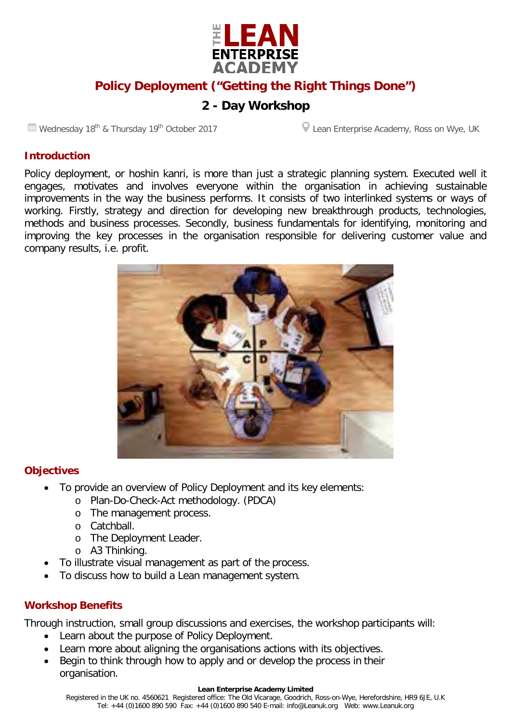

# **Policy Deployment ("Getting the Right Things Done")**

# **2 - Day Workshop**

Wednesday 18<sup>th</sup> & Thursday 19<sup>th</sup> October 2017 **Lean Enterprise Academy, Ross on Wye, UK** 

#### **Introduction**

Policy deployment, or hoshin kanri, is more than just a strategic planning system. Executed well it engages, motivates and involves everyone within the organisation in achieving sustainable improvements in the way the business performs. It consists of two interlinked systems or ways of working. Firstly, strategy and direction for developing new breakthrough products, technologies, methods and business processes. Secondly, business fundamentals for identifying, monitoring and improving the key processes in the organisation responsible for delivering customer value and company results, i.e. profit.



#### **Objectives**

- To provide an overview of Policy Deployment and its key elements:
	- o Plan-Do-Check-Act methodology. (PDCA)
	- o The management process.
	- o Catchball.
	- o The Deployment Leader.
	- o A3 Thinking.
- To illustrate visual management as part of the process.
- To discuss how to build a Lean management system.

#### **Workshop Benefits**

Through instruction, small group discussions and exercises, the workshop participants will:

- Learn about the purpose of Policy Deployment.
- Learn more about aligning the organisations actions with its objectives.
- Begin to think through how to apply and or develop the process in their organisation.

#### **Lean Enterprise Academy Limited**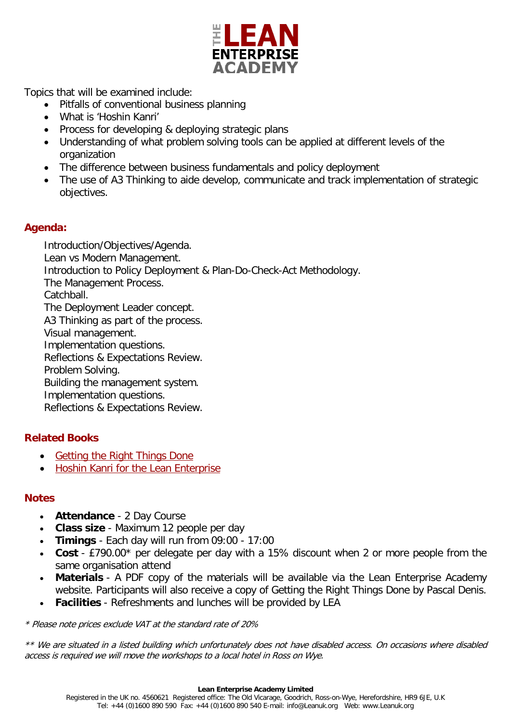

Topics that will be examined include:

- Pitfalls of conventional business planning
- What is 'Hoshin Kanri'
- Process for developing & deploying strategic plans
- Understanding of what problem solving tools can be applied at different levels of the organization
- The difference between business fundamentals and policy deployment
- The use of A3 Thinking to aide develop, communicate and track implementation of strategic objectives.

## **Agenda:**

Introduction/Objectives/Agenda. Lean vs Modern Management. Introduction to Policy Deployment & Plan-Do-Check-Act Methodology. The Management Process. Catchball. The Deployment Leader concept. A3 Thinking as part of the process. Visual management. Implementation questions. Reflections & Expectations Review. Problem Solving. Building the management system. Implementation questions. Reflections & Expectations Review.

# **Related Books**

- [Getting the Right Things](http://www.leanuk.org/shop/all-lean-book-shop-lean-enterprise-academy/getting-the-right-things-done) Done
- [Hoshin Kanri for the Lean Enterprise](http://www.leanuk.org/shop/all-lean-book-shop-lean-enterprise-academy/hoshin-kanri-for-the-lean-enterprise)

## **Notes**

- **Attendance** 2 Day Course
- **Class size** Maximum 12 people per day
- **Timings** Each day will run from 09:00 17:00
- **Cost** £790.00\* per delegate per day with a 15% discount when 2 or more people from the same organisation attend
- **Materials** A PDF copy of the materials will be available via the Lean Enterprise Academy website. Participants will also receive a copy of Getting the Right Things Done by Pascal Denis.
- **Facilities** Refreshments and lunches will be provided by LEA

\* Please note prices exclude VAT at the standard rate of 20%

\*\* We are situated in a listed building which unfortunately does not have disabled access. On occasions where disabled access is required we will move the workshops to a local hotel in Ross on Wye.